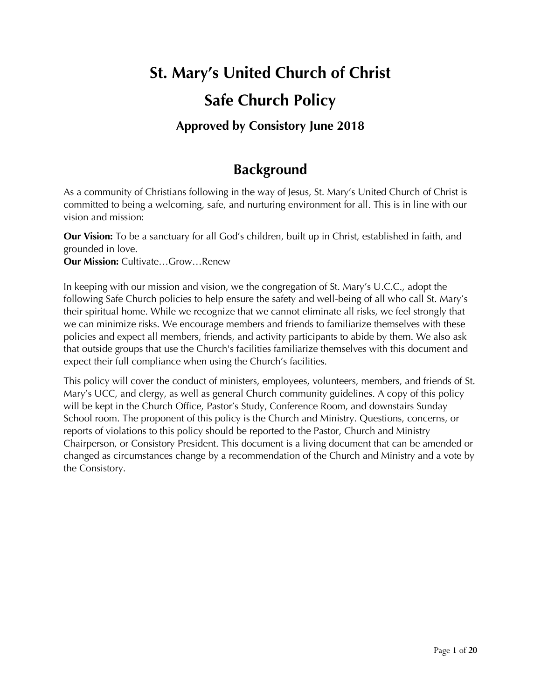# **St. Mary's United Church of Christ Safe Church Policy**

### **Approved by Consistory June 2018**

### **Background**

As a community of Christians following in the way of Jesus, St. Mary's United Church of Christ is committed to being a welcoming, safe, and nurturing environment for all. This is in line with our vision and mission:

**Our Vision:** To be a sanctuary for all God's children, built up in Christ, established in faith, and grounded in love.

**Our Mission:** Cultivate…Grow…Renew

In keeping with our mission and vision, we the congregation of St. Mary's U.C.C., adopt the following Safe Church policies to help ensure the safety and well-being of all who call St. Mary's their spiritual home. While we recognize that we cannot eliminate all risks, we feel strongly that we can minimize risks. We encourage members and friends to familiarize themselves with these policies and expect all members, friends, and activity participants to abide by them. We also ask that outside groups that use the Church's facilities familiarize themselves with this document and expect their full compliance when using the Church's facilities.

This policy will cover the conduct of ministers, employees, volunteers, members, and friends of St. Mary's UCC, and clergy, as well as general Church community guidelines. A copy of this policy will be kept in the Church Office, Pastor's Study, Conference Room, and downstairs Sunday School room. The proponent of this policy is the Church and Ministry. Questions, concerns, or reports of violations to this policy should be reported to the Pastor, Church and Ministry Chairperson, or Consistory President. This document is a living document that can be amended or changed as circumstances change by a recommendation of the Church and Ministry and a vote by the Consistory.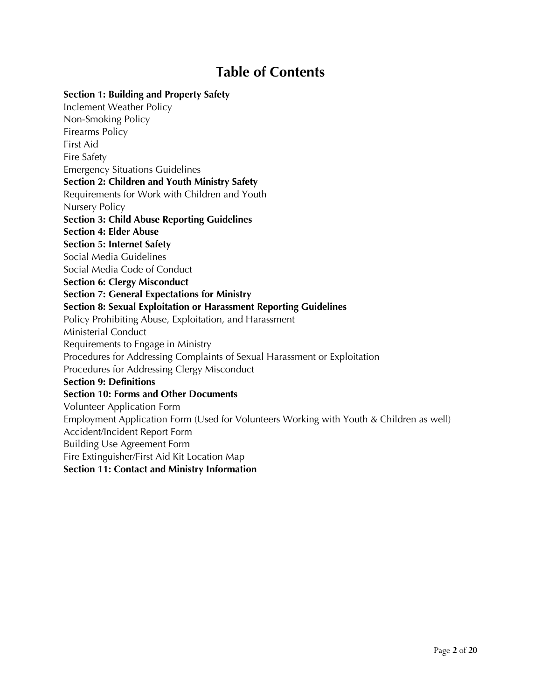### **Table of Contents**

#### **Section 1: Building and Property Safety**

Inclement Weather Policy Non-Smoking Policy Firearms Policy First Aid Fire Safety Emergency Situations Guidelines **Section 2: Children and Youth Ministry Safety** Requirements for Work with Children and Youth Nursery Policy **Section 3: Child Abuse Reporting Guidelines Section 4: Elder Abuse Section 5: Internet Safety**  Social Media Guidelines Social Media Code of Conduct **Section 6: Clergy Misconduct Section 7: General Expectations for Ministry Section 8: Sexual Exploitation or Harassment Reporting Guidelines** Policy Prohibiting Abuse, Exploitation, and Harassment Ministerial Conduct Requirements to Engage in Ministry Procedures for Addressing Complaints of Sexual Harassment or Exploitation Procedures for Addressing Clergy Misconduct **Section 9: Definitions Section 10: Forms and Other Documents**  Volunteer Application Form Employment Application Form (Used for Volunteers Working with Youth & Children as well) Accident/Incident Report Form Building Use Agreement Form Fire Extinguisher/First Aid Kit Location Map **Section 11: Contact and Ministry Information**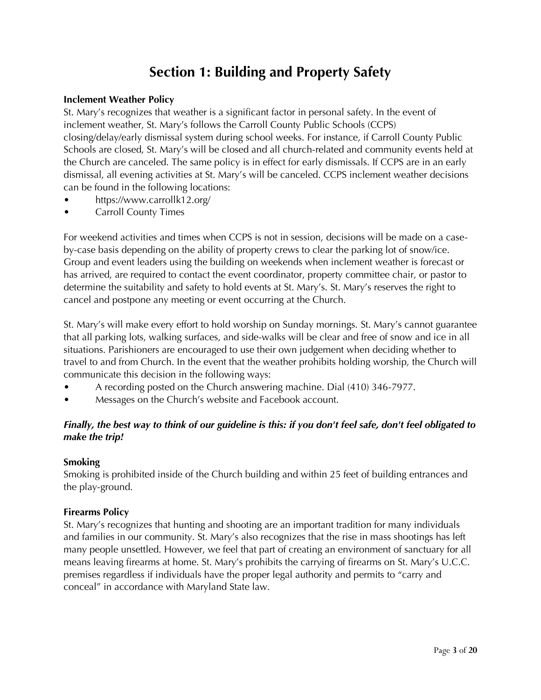### **Section 1: Building and Property Safety**

#### **Inclement Weather Policy**

St. Mary's recognizes that weather is a significant factor in personal safety. In the event of inclement weather, St. Mary's follows the Carroll County Public Schools (CCPS) closing/delay/early dismissal system during school weeks. For instance, if Carroll County Public Schools are closed, St. Mary's will be closed and all church-related and community events held at the Church are canceled. The same policy is in effect for early dismissals. If CCPS are in an early dismissal, all evening activities at St. Mary's will be canceled. CCPS inclement weather decisions can be found in the following locations:

- https://www.carrollk12.org/
- Carroll County Times

For weekend activities and times when CCPS is not in session, decisions will be made on a caseby-case basis depending on the ability of property crews to clear the parking lot of snow/ice. Group and event leaders using the building on weekends when inclement weather is forecast or has arrived, are required to contact the event coordinator, property committee chair, or pastor to determine the suitability and safety to hold events at St. Mary's. St. Mary's reserves the right to cancel and postpone any meeting or event occurring at the Church.

St. Mary's will make every effort to hold worship on Sunday mornings. St. Mary's cannot guarantee that all parking lots, walking surfaces, and side-walks will be clear and free of snow and ice in all situations. Parishioners are encouraged to use their own judgement when deciding whether to travel to and from Church. In the event that the weather prohibits holding worship, the Church will communicate this decision in the following ways:

- A recording posted on the Church answering machine. Dial (410) 346-7977.
- Messages on the Church's website and Facebook account.

#### *Finally, the best way to think of our guideline is this: if you don't feel safe, don't feel obligated to make the trip!*

#### **Smoking**

Smoking is prohibited inside of the Church building and within 25 feet of building entrances and the play-ground.

#### **Firearms Policy**

St. Mary's recognizes that hunting and shooting are an important tradition for many individuals and families in our community. St. Mary's also recognizes that the rise in mass shootings has left many people unsettled. However, we feel that part of creating an environment of sanctuary for all means leaving firearms at home. St. Mary's prohibits the carrying of firearms on St. Mary's U.C.C. premises regardless if individuals have the proper legal authority and permits to "carry and conceal" in accordance with Maryland State law.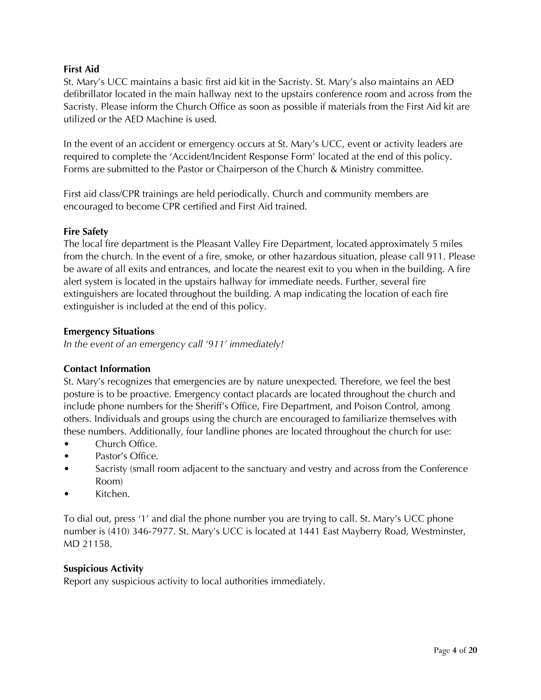#### **First Aid**

St. Mary's UCC maintains a basic first aid kit in the Sacristy. St. Mary's also maintains an AED defibrillator located in the main hallway next to the upstairs conference room and across from the Sacristy. Please inform the Church Office as soon as possible if materials from the First Aid kit are utilized or the AED Machine is used.

In the event of an accident or emergency occurs at St. Mary's UCC, event or activity leaders are required to complete the 'Accident/Incident Response Form' located at the end of this policy. Forms are submitted to the Pastor or Chairperson of the Church & Ministry committee.

First aid class/CPR trainings are held periodically. Church and community members are encouraged to become CPR certified and First Aid trained.

#### **Fire Safety**

The local fire department is the Pleasant Valley Fire Department, located approximately 5 miles from the church. In the event of a fire, smoke, or other hazardous situation, please call 911. Please be aware of all exits and entrances, and locate the nearest exit to you when in the building. A fire alert system is located in the upstairs hallway for immediate needs. Further, several fire extinguishers are located throughout the building. A map indicating the location of each fire extinguisher is included at the end of this policy.

#### **Emergency Situations**

*In the event of an emergency call '911' immediately!*

#### **Contact Information**

St. Mary's recognizes that emergencies are by nature unexpected. Therefore, we feel the best posture is to be proactive. Emergency contact placards are located throughout the church and include phone numbers for the Sheriff's Office, Fire Department, and Poison Control, among others. Individuals and groups using the church are encouraged to familiarize themselves with these numbers. Additionally, four landline phones are located throughout the church for use:

- Church Office.
- Pastor's Office.
- Sacristy (small room adjacent to the sanctuary and vestry and across from the Conference Room)
- Kitchen.

To dial out, press '1' and dial the phone number you are trying to call. St. Mary's UCC phone number is (410) 346-7977. St. Mary's UCC is located at 1441 East Mayberry Road, Westminster, MD 21158.

#### **Suspicious Activity**

Report any suspicious activity to local authorities immediately.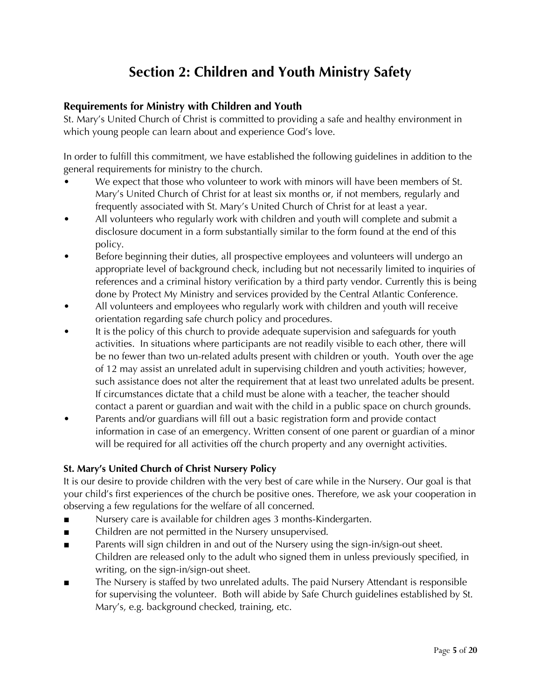### **Section 2: Children and Youth Ministry Safety**

#### **Requirements for Ministry with Children and Youth**

St. Mary's United Church of Christ is committed to providing a safe and healthy environment in which young people can learn about and experience God's love.

In order to fulfill this commitment, we have established the following guidelines in addition to the general requirements for ministry to the church.

- We expect that those who volunteer to work with minors will have been members of St. Mary's United Church of Christ for at least six months or, if not members, regularly and frequently associated with St. Mary's United Church of Christ for at least a year.
- All volunteers who regularly work with children and youth will complete and submit a disclosure document in a form substantially similar to the form found at the end of this policy.
- Before beginning their duties, all prospective employees and volunteers will undergo an appropriate level of background check, including but not necessarily limited to inquiries of references and a criminal history verification by a third party vendor. Currently this is being done by Protect My Ministry and services provided by the Central Atlantic Conference.
- All volunteers and employees who regularly work with children and youth will receive orientation regarding safe church policy and procedures.
- It is the policy of this church to provide adequate supervision and safeguards for youth activities. In situations where participants are not readily visible to each other, there will be no fewer than two un-related adults present with children or youth. Youth over the age of 12 may assist an unrelated adult in supervising children and youth activities; however, such assistance does not alter the requirement that at least two unrelated adults be present. If circumstances dictate that a child must be alone with a teacher, the teacher should contact a parent or guardian and wait with the child in a public space on church grounds.
- Parents and/or guardians will fill out a basic registration form and provide contact information in case of an emergency. Written consent of one parent or guardian of a minor will be required for all activities off the church property and any overnight activities.

#### **St. Mary's United Church of Christ Nursery Policy**

It is our desire to provide children with the very best of care while in the Nursery. Our goal is that your child's first experiences of the church be positive ones. Therefore, we ask your cooperation in observing a few regulations for the welfare of all concerned.

- Nursery care is available for children ages 3 months-Kindergarten.
- Children are not permitted in the Nursery unsupervised.
- Parents will sign children in and out of the Nursery using the sign-in/sign-out sheet. Children are released only to the adult who signed them in unless previously specified, in writing, on the sign-in/sign-out sheet.
- The Nursery is staffed by two unrelated adults. The paid Nursery Attendant is responsible for supervising the volunteer. Both will abide by Safe Church guidelines established by St. Mary's, e.g. background checked, training, etc.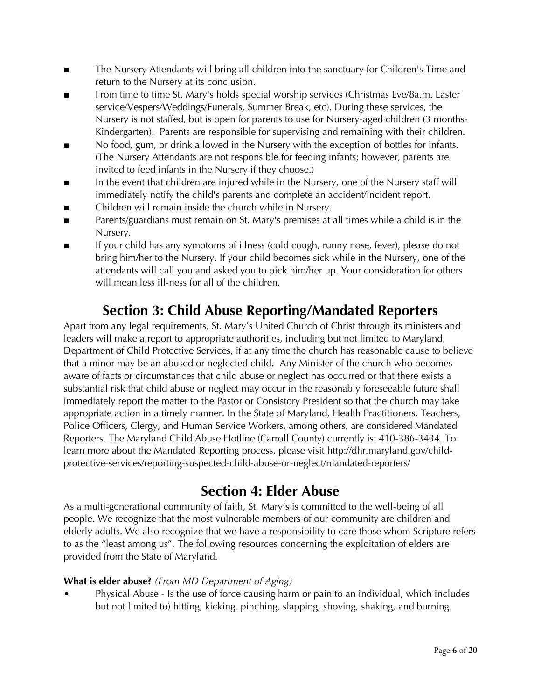- The Nursery Attendants will bring all children into the sanctuary for Children's Time and return to the Nursery at its conclusion.
- From time to time St. Mary's holds special worship services (Christmas Eve/8a.m. Easter service/Vespers/Weddings/Funerals, Summer Break, etc). During these services, the Nursery is not staffed, but is open for parents to use for Nursery-aged children (3 months-Kindergarten). Parents are responsible for supervising and remaining with their children.
- No food, gum, or drink allowed in the Nursery with the exception of bottles for infants. (The Nursery Attendants are not responsible for feeding infants; however, parents are invited to feed infants in the Nursery if they choose.)
- In the event that children are injured while in the Nursery, one of the Nursery staff will immediately notify the child's parents and complete an accident/incident report.
- Children will remain inside the church while in Nursery.
- Parents/guardians must remain on St. Mary's premises at all times while a child is in the Nursery.
- If your child has any symptoms of illness (cold cough, runny nose, fever), please do not bring him/her to the Nursery. If your child becomes sick while in the Nursery, one of the attendants will call you and asked you to pick him/her up. Your consideration for others will mean less ill-ness for all of the children.

### **Section 3: Child Abuse Reporting/Mandated Reporters**

Apart from any legal requirements, St. Mary's United Church of Christ through its ministers and leaders will make a report to appropriate authorities, including but not limited to Maryland Department of Child Protective Services, if at any time the church has reasonable cause to believe that a minor may be an abused or neglected child. Any Minister of the church who becomes aware of facts or circumstances that child abuse or neglect has occurred or that there exists a substantial risk that child abuse or neglect may occur in the reasonably foreseeable future shall immediately report the matter to the Pastor or Consistory President so that the church may take appropriate action in a timely manner. In the State of Maryland, Health Practitioners, Teachers, Police Officers, Clergy, and Human Service Workers, among others, are considered Mandated Reporters. The Maryland Child Abuse Hotline (Carroll County) currently is: 410-386-3434. To learn more about the Mandated Reporting process, please visit http://dhr.maryland.gov/childprotective-services/reporting-suspected-child-abuse-or-neglect/mandated-reporters/

### **Section 4: Elder Abuse**

As a multi-generational community of faith, St. Mary's is committed to the well-being of all people. We recognize that the most vulnerable members of our community are children and elderly adults. We also recognize that we have a responsibility to care those whom Scripture refers to as the "least among us". The following resources concerning the exploitation of elders are provided from the State of Maryland.

#### **What is elder abuse?** *(From MD Department of Aging)*

• Physical Abuse - Is the use of force causing harm or pain to an individual, which includes but not limited to) hitting, kicking, pinching, slapping, shoving, shaking, and burning.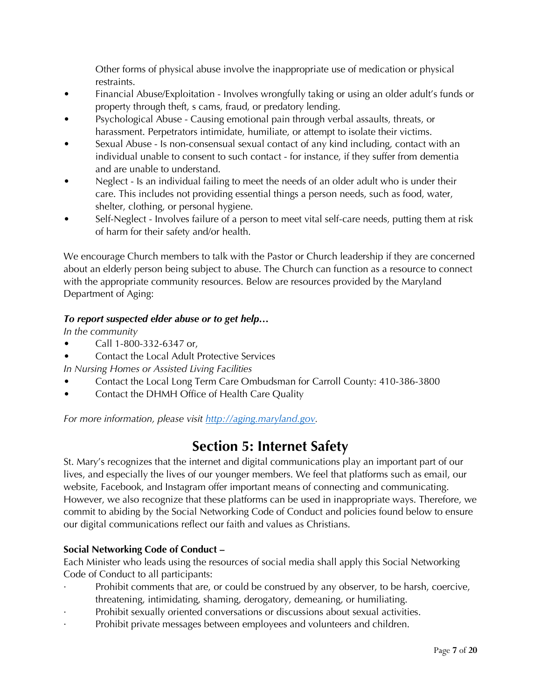Other forms of physical abuse involve the inappropriate use of medication or physical restraints.

- Financial Abuse/Exploitation Involves wrongfully taking or using an older adult's funds or property through theft, s cams, fraud, or predatory lending.
- Psychological Abuse Causing emotional pain through verbal assaults, threats, or harassment. Perpetrators intimidate, humiliate, or attempt to isolate their victims.
- Sexual Abuse Is non-consensual sexual contact of any kind including, contact with an individual unable to consent to such contact - for instance, if they suffer from dementia and are unable to understand.
- Neglect Is an individual failing to meet the needs of an older adult who is under their care. This includes not providing essential things a person needs, such as food, water, shelter, clothing, or personal hygiene.
- Self-Neglect Involves failure of a person to meet vital self-care needs, putting them at risk of harm for their safety and/or health.

We encourage Church members to talk with the Pastor or Church leadership if they are concerned about an elderly person being subject to abuse. The Church can function as a resource to connect with the appropriate community resources. Below are resources provided by the Maryland Department of Aging:

#### *To report suspected elder abuse or to get help…*

*In the community*

- Call 1-800-332-6347 or,
- Contact the Local Adult Protective Services

*In Nursing Homes or Assisted Living Facilities*

- Contact the Local Long Term Care Ombudsman for Carroll County: 410-386-3800
- Contact the DHMH Office of Health Care Quality

*For more information, please visit [http://aging.maryland.gov.](http://aging.maryland.gov/)* 

### **Section 5: Internet Safety**

St. Mary's recognizes that the internet and digital communications play an important part of our lives, and especially the lives of our younger members. We feel that platforms such as email, our website, Facebook, and Instagram offer important means of connecting and communicating. However, we also recognize that these platforms can be used in inappropriate ways. Therefore, we commit to abiding by the Social Networking Code of Conduct and policies found below to ensure our digital communications reflect our faith and values as Christians.

#### **Social Networking Code of Conduct –**

Each Minister who leads using the resources of social media shall apply this Social Networking Code of Conduct to all participants:

- Prohibit comments that are, or could be construed by any observer, to be harsh, coercive, threatening, intimidating, shaming, derogatory, demeaning, or humiliating.
- Prohibit sexually oriented conversations or discussions about sexual activities.
- Prohibit private messages between employees and volunteers and children.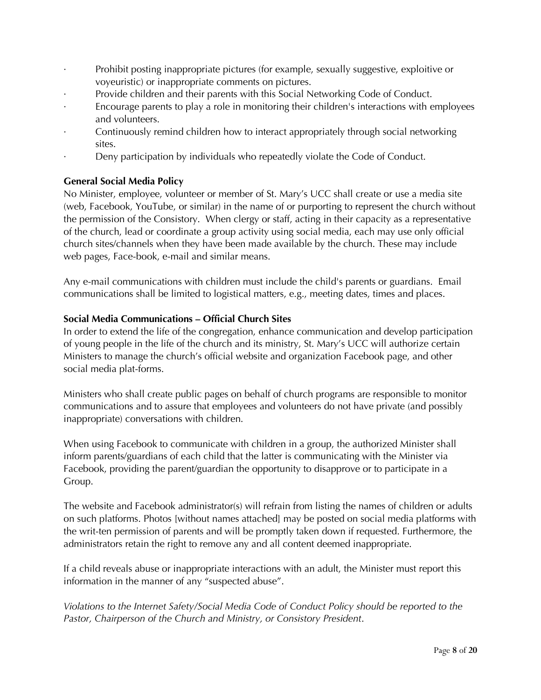- · Prohibit posting inappropriate pictures (for example, sexually suggestive, exploitive or voyeuristic) or inappropriate comments on pictures.
- Provide children and their parents with this Social Networking Code of Conduct.
- Encourage parents to play a role in monitoring their children's interactions with employees and volunteers.
- Continuously remind children how to interact appropriately through social networking sites.
- Deny participation by individuals who repeatedly violate the Code of Conduct.

#### **General Social Media Policy**

No Minister, employee, volunteer or member of St. Mary's UCC shall create or use a media site (web, Facebook, YouTube, or similar) in the name of or purporting to represent the church without the permission of the Consistory. When clergy or staff, acting in their capacity as a representative of the church, lead or coordinate a group activity using social media, each may use only official church sites/channels when they have been made available by the church. These may include web pages, Face-book, e-mail and similar means.

Any e-mail communications with children must include the child's parents or guardians. Email communications shall be limited to logistical matters, e.g., meeting dates, times and places.

#### **Social Media Communications – Official Church Sites**

In order to extend the life of the congregation, enhance communication and develop participation of young people in the life of the church and its ministry, St. Mary's UCC will authorize certain Ministers to manage the church's official website and organization Facebook page, and other social media plat-forms.

Ministers who shall create public pages on behalf of church programs are responsible to monitor communications and to assure that employees and volunteers do not have private (and possibly inappropriate) conversations with children.

When using Facebook to communicate with children in a group, the authorized Minister shall inform parents/guardians of each child that the latter is communicating with the Minister via Facebook, providing the parent/guardian the opportunity to disapprove or to participate in a Group.

The website and Facebook administrator(s) will refrain from listing the names of children or adults on such platforms. Photos [without names attached] may be posted on social media platforms with the writ-ten permission of parents and will be promptly taken down if requested. Furthermore, the administrators retain the right to remove any and all content deemed inappropriate.

If a child reveals abuse or inappropriate interactions with an adult, the Minister must report this information in the manner of any "suspected abuse".

*Violations to the Internet Safety/Social Media Code of Conduct Policy should be reported to the Pastor, Chairperson of the Church and Ministry, or Consistory President*.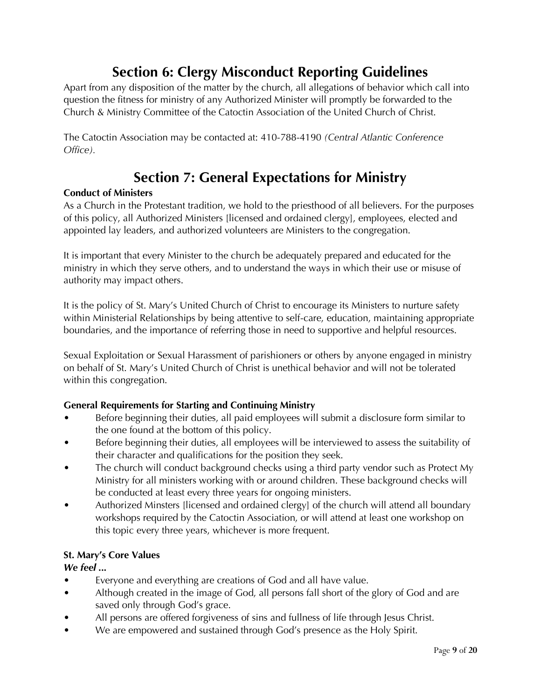## **Section 6: Clergy Misconduct Reporting Guidelines**

Apart from any disposition of the matter by the church, all allegations of behavior which call into question the fitness for ministry of any Authorized Minister will promptly be forwarded to the Church & Ministry Committee of the Catoctin Association of the United Church of Christ.

The Catoctin Association may be contacted at: 410-788-4190 *(Central Atlantic Conference Office).*

## **Section 7: General Expectations for Ministry**

#### **Conduct of Ministers**

As a Church in the Protestant tradition, we hold to the priesthood of all believers. For the purposes of this policy, all Authorized Ministers [licensed and ordained clergy], employees, elected and appointed lay leaders, and authorized volunteers are Ministers to the congregation.

It is important that every Minister to the church be adequately prepared and educated for the ministry in which they serve others, and to understand the ways in which their use or misuse of authority may impact others.

It is the policy of St. Mary's United Church of Christ to encourage its Ministers to nurture safety within Ministerial Relationships by being attentive to self-care, education, maintaining appropriate boundaries, and the importance of referring those in need to supportive and helpful resources.

Sexual Exploitation or Sexual Harassment of parishioners or others by anyone engaged in ministry on behalf of St. Mary's United Church of Christ is unethical behavior and will not be tolerated within this congregation.

#### **General Requirements for Starting and Continuing Ministry**

- Before beginning their duties, all paid employees will submit a disclosure form similar to the one found at the bottom of this policy.
- Before beginning their duties, all employees will be interviewed to assess the suitability of their character and qualifications for the position they seek.
- The church will conduct background checks using a third party vendor such as Protect My Ministry for all ministers working with or around children. These background checks will be conducted at least every three years for ongoing ministers.
- Authorized Minsters [licensed and ordained clergy] of the church will attend all boundary workshops required by the Catoctin Association, or will attend at least one workshop on this topic every three years, whichever is more frequent.

#### **St. Mary's Core Values**

#### *We feel ...*

- Everyone and everything are creations of God and all have value.
- Although created in the image of God, all persons fall short of the glory of God and are saved only through God's grace.
- All persons are offered forgiveness of sins and fullness of life through Jesus Christ.
- We are empowered and sustained through God's presence as the Holy Spirit.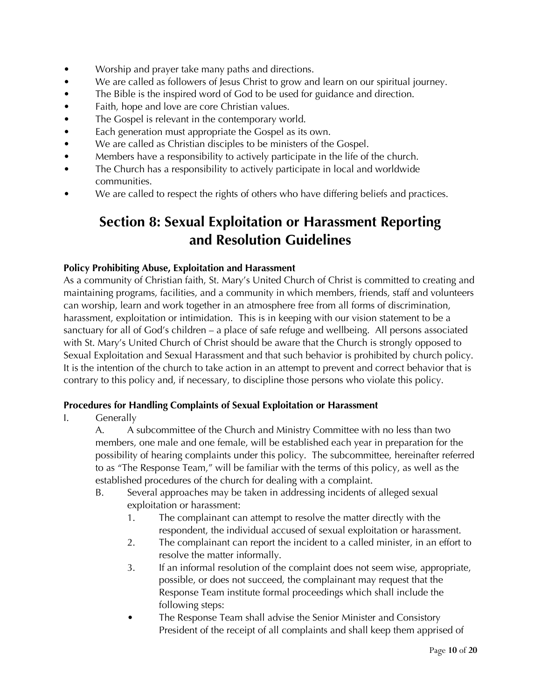- Worship and prayer take many paths and directions.
- We are called as followers of Jesus Christ to grow and learn on our spiritual journey.
- The Bible is the inspired word of God to be used for guidance and direction.
- Faith, hope and love are core Christian values.
- The Gospel is relevant in the contemporary world.
- Each generation must appropriate the Gospel as its own.
- We are called as Christian disciples to be ministers of the Gospel.
- Members have a responsibility to actively participate in the life of the church.
- The Church has a responsibility to actively participate in local and worldwide communities.
- We are called to respect the rights of others who have differing beliefs and practices.

### **Section 8: Sexual Exploitation or Harassment Reporting and Resolution Guidelines**

#### **Policy Prohibiting Abuse, Exploitation and Harassment**

As a community of Christian faith, St. Mary's United Church of Christ is committed to creating and maintaining programs, facilities, and a community in which members, friends, staff and volunteers can worship, learn and work together in an atmosphere free from all forms of discrimination, harassment, exploitation or intimidation. This is in keeping with our vision statement to be a sanctuary for all of God's children – a place of safe refuge and wellbeing. All persons associated with St. Mary's United Church of Christ should be aware that the Church is strongly opposed to Sexual Exploitation and Sexual Harassment and that such behavior is prohibited by church policy. It is the intention of the church to take action in an attempt to prevent and correct behavior that is contrary to this policy and, if necessary, to discipline those persons who violate this policy.

#### **Procedures for Handling Complaints of Sexual Exploitation or Harassment**

I. Generally

A. A subcommittee of the Church and Ministry Committee with no less than two members, one male and one female, will be established each year in preparation for the possibility of hearing complaints under this policy. The subcommittee, hereinafter referred to as "The Response Team," will be familiar with the terms of this policy, as well as the established procedures of the church for dealing with a complaint.

- B. Several approaches may be taken in addressing incidents of alleged sexual exploitation or harassment:
	- 1. The complainant can attempt to resolve the matter directly with the respondent, the individual accused of sexual exploitation or harassment.
	- 2. The complainant can report the incident to a called minister, in an effort to resolve the matter informally.
	- 3. If an informal resolution of the complaint does not seem wise, appropriate, possible, or does not succeed, the complainant may request that the Response Team institute formal proceedings which shall include the following steps:
	- The Response Team shall advise the Senior Minister and Consistory President of the receipt of all complaints and shall keep them apprised of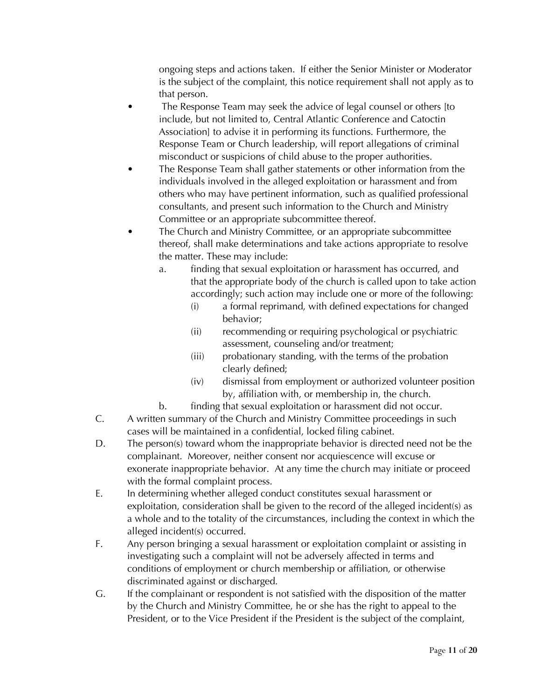ongoing steps and actions taken. If either the Senior Minister or Moderator is the subject of the complaint, this notice requirement shall not apply as to that person.

- The Response Team may seek the advice of legal counsel or others [to include, but not limited to, Central Atlantic Conference and Catoctin Association] to advise it in performing its functions. Furthermore, the Response Team or Church leadership, will report allegations of criminal misconduct or suspicions of child abuse to the proper authorities.
- The Response Team shall gather statements or other information from the individuals involved in the alleged exploitation or harassment and from others who may have pertinent information, such as qualified professional consultants, and present such information to the Church and Ministry Committee or an appropriate subcommittee thereof.
	- The Church and Ministry Committee, or an appropriate subcommittee thereof, shall make determinations and take actions appropriate to resolve the matter. These may include:
		- a. finding that sexual exploitation or harassment has occurred, and that the appropriate body of the church is called upon to take action accordingly; such action may include one or more of the following:
			- (i) a formal reprimand, with defined expectations for changed behavior;
			- (ii) recommending or requiring psychological or psychiatric assessment, counseling and/or treatment;
			- (iii) probationary standing, with the terms of the probation clearly defined;
			- (iv) dismissal from employment or authorized volunteer position by, affiliation with, or membership in, the church.
		- b. finding that sexual exploitation or harassment did not occur.
- C. A written summary of the Church and Ministry Committee proceedings in such cases will be maintained in a confidential, locked filing cabinet.
- D. The person(s) toward whom the inappropriate behavior is directed need not be the complainant. Moreover, neither consent nor acquiescence will excuse or exonerate inappropriate behavior. At any time the church may initiate or proceed with the formal complaint process.
- E. In determining whether alleged conduct constitutes sexual harassment or exploitation, consideration shall be given to the record of the alleged incident(s) as a whole and to the totality of the circumstances, including the context in which the alleged incident(s) occurred.
- F. Any person bringing a sexual harassment or exploitation complaint or assisting in investigating such a complaint will not be adversely affected in terms and conditions of employment or church membership or affiliation, or otherwise discriminated against or discharged.
- G. If the complainant or respondent is not satisfied with the disposition of the matter by the Church and Ministry Committee, he or she has the right to appeal to the President, or to the Vice President if the President is the subject of the complaint,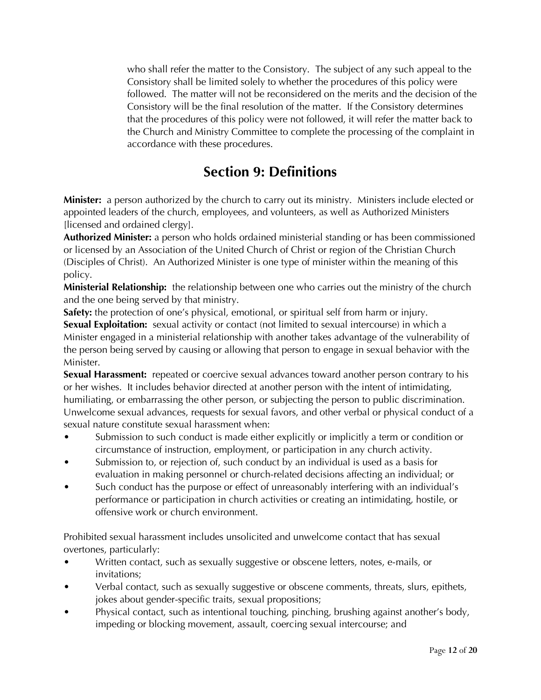who shall refer the matter to the Consistory. The subject of any such appeal to the Consistory shall be limited solely to whether the procedures of this policy were followed. The matter will not be reconsidered on the merits and the decision of the Consistory will be the final resolution of the matter. If the Consistory determines that the procedures of this policy were not followed, it will refer the matter back to the Church and Ministry Committee to complete the processing of the complaint in accordance with these procedures.

### **Section 9: Definitions**

**Minister:** a person authorized by the church to carry out its ministry. Ministers include elected or appointed leaders of the church, employees, and volunteers, as well as Authorized Ministers [licensed and ordained clergy].

**Authorized Minister:** a person who holds ordained ministerial standing or has been commissioned or licensed by an Association of the United Church of Christ or region of the Christian Church (Disciples of Christ). An Authorized Minister is one type of minister within the meaning of this policy.

**Ministerial Relationship:** the relationship between one who carries out the ministry of the church and the one being served by that ministry.

**Safety:** the protection of one's physical, emotional, or spiritual self from harm or injury.

**Sexual Exploitation:** sexual activity or contact (not limited to sexual intercourse) in which a Minister engaged in a ministerial relationship with another takes advantage of the vulnerability of the person being served by causing or allowing that person to engage in sexual behavior with the Minister.

**Sexual Harassment:** repeated or coercive sexual advances toward another person contrary to his or her wishes. It includes behavior directed at another person with the intent of intimidating, humiliating, or embarrassing the other person, or subjecting the person to public discrimination. Unwelcome sexual advances, requests for sexual favors, and other verbal or physical conduct of a sexual nature constitute sexual harassment when:

- Submission to such conduct is made either explicitly or implicitly a term or condition or circumstance of instruction, employment, or participation in any church activity.
- Submission to, or rejection of, such conduct by an individual is used as a basis for evaluation in making personnel or church-related decisions affecting an individual; or
- Such conduct has the purpose or effect of unreasonably interfering with an individual's performance or participation in church activities or creating an intimidating, hostile, or offensive work or church environment.

Prohibited sexual harassment includes unsolicited and unwelcome contact that has sexual overtones, particularly:

- Written contact, such as sexually suggestive or obscene letters, notes, e-mails, or invitations;
- Verbal contact, such as sexually suggestive or obscene comments, threats, slurs, epithets, jokes about gender-specific traits, sexual propositions;
- Physical contact, such as intentional touching, pinching, brushing against another's body, impeding or blocking movement, assault, coercing sexual intercourse; and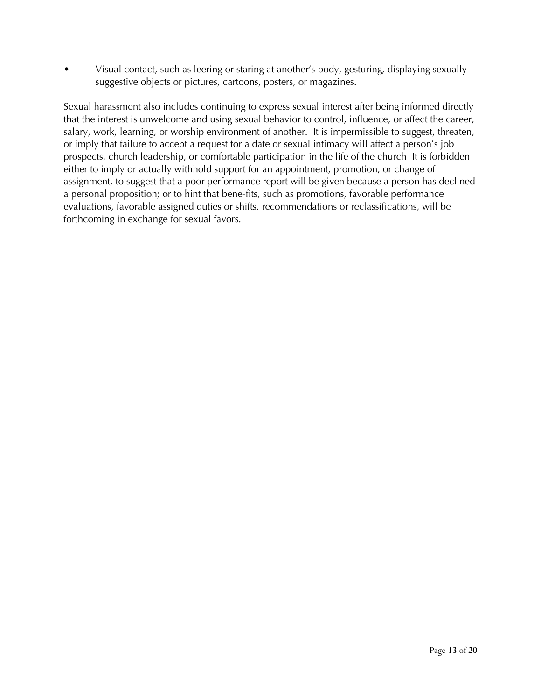• Visual contact, such as leering or staring at another's body, gesturing, displaying sexually suggestive objects or pictures, cartoons, posters, or magazines.

Sexual harassment also includes continuing to express sexual interest after being informed directly that the interest is unwelcome and using sexual behavior to control, influence, or affect the career, salary, work, learning, or worship environment of another. It is impermissible to suggest, threaten, or imply that failure to accept a request for a date or sexual intimacy will affect a person's job prospects, church leadership, or comfortable participation in the life of the church It is forbidden either to imply or actually withhold support for an appointment, promotion, or change of assignment, to suggest that a poor performance report will be given because a person has declined a personal proposition; or to hint that bene-fits, such as promotions, favorable performance evaluations, favorable assigned duties or shifts, recommendations or reclassifications, will be forthcoming in exchange for sexual favors.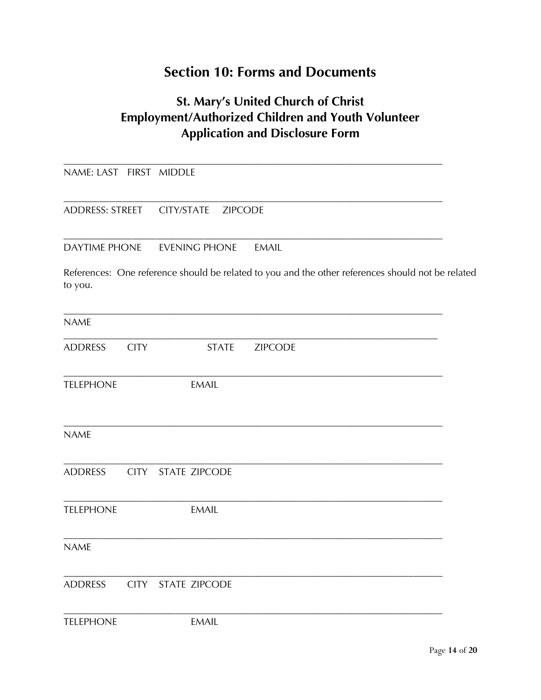## **Section 10: Forms and Documents**

### **St. Mary's United Church of Christ Employment/Authorized Children and Youth Volunteer Application and Disclosure Form**

| NAME: LAST FIRST MIDDLE                  |             |                      |                                                                                                   |  |
|------------------------------------------|-------------|----------------------|---------------------------------------------------------------------------------------------------|--|
| ADDRESS: STREET    CITY/STATE    ZIPCODE |             |                      |                                                                                                   |  |
| DAYTIME PHONE EVENING PHONE              |             |                      | EMAIL                                                                                             |  |
| to you.                                  |             |                      | References: One reference should be related to you and the other references should not be related |  |
| <b>NAME</b>                              |             |                      | <u> 1989 - Johann Stoff, amerikansk politiker (d. 1989)</u>                                       |  |
| <b>ADDRESS</b>                           | <b>CITY</b> | <b>STATE</b>         | <b>ZIPCODE</b>                                                                                    |  |
| <b>TELEPHONE</b>                         |             | <b>EMAIL</b>         |                                                                                                   |  |
| <b>NAME</b>                              |             |                      |                                                                                                   |  |
| ADDRESS CITY STATE ZIPCODE               |             |                      |                                                                                                   |  |
| <b>TELEPHONE</b>                         |             | <b>EMAIL</b>         |                                                                                                   |  |
| <b>NAME</b>                              |             |                      |                                                                                                   |  |
| <b>ADDRESS</b>                           | <b>CITY</b> | <b>STATE ZIPCODE</b> |                                                                                                   |  |
| <b>TELEPHONE</b>                         |             | <b>EMAIL</b>         |                                                                                                   |  |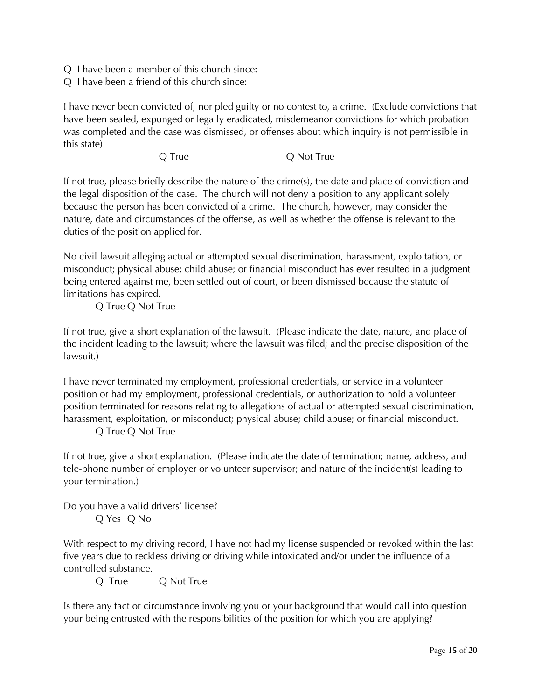- Q I have been a member of this church since:
- Q I have been a friend of this church since:

I have never been convicted of, nor pled guilty or no contest to, a crime. (Exclude convictions that have been sealed, expunged or legally eradicated, misdemeanor convictions for which probation was completed and the case was dismissed, or offenses about which inquiry is not permissible in this state)

Q True Q Not True

If not true, please briefly describe the nature of the crime(s), the date and place of conviction and the legal disposition of the case. The church will not deny a position to any applicant solely because the person has been convicted of a crime. The church, however, may consider the nature, date and circumstances of the offense, as well as whether the offense is relevant to the duties of the position applied for.

No civil lawsuit alleging actual or attempted sexual discrimination, harassment, exploitation, or misconduct; physical abuse; child abuse; or financial misconduct has ever resulted in a judgment being entered against me, been settled out of court, or been dismissed because the statute of limitations has expired.

Q True Q Not True

If not true, give a short explanation of the lawsuit. (Please indicate the date, nature, and place of the incident leading to the lawsuit; where the lawsuit was filed; and the precise disposition of the lawsuit.)

I have never terminated my employment, professional credentials, or service in a volunteer position or had my employment, professional credentials, or authorization to hold a volunteer position terminated for reasons relating to allegations of actual or attempted sexual discrimination, harassment, exploitation, or misconduct; physical abuse; child abuse; or financial misconduct.

Q True Q Not True

If not true, give a short explanation. (Please indicate the date of termination; name, address, and tele-phone number of employer or volunteer supervisor; and nature of the incident(s) leading to your termination.)

Do you have a valid drivers' license? Q Yes Q No

With respect to my driving record, I have not had my license suspended or revoked within the last five years due to reckless driving or driving while intoxicated and/or under the influence of a controlled substance.

Q True Q Not True

Is there any fact or circumstance involving you or your background that would call into question your being entrusted with the responsibilities of the position for which you are applying?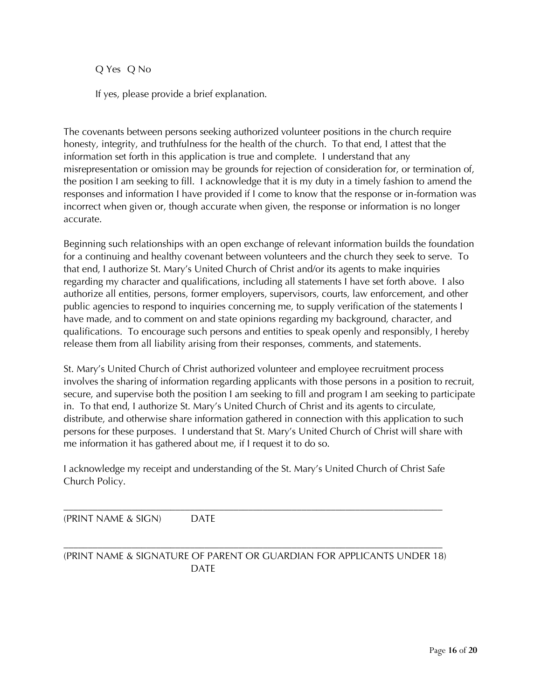Q Yes Q No

If yes, please provide a brief explanation.

The covenants between persons seeking authorized volunteer positions in the church require honesty, integrity, and truthfulness for the health of the church. To that end, I attest that the information set forth in this application is true and complete. I understand that any misrepresentation or omission may be grounds for rejection of consideration for, or termination of, the position I am seeking to fill. I acknowledge that it is my duty in a timely fashion to amend the responses and information I have provided if I come to know that the response or in-formation was incorrect when given or, though accurate when given, the response or information is no longer accurate.

Beginning such relationships with an open exchange of relevant information builds the foundation for a continuing and healthy covenant between volunteers and the church they seek to serve. To that end, I authorize St. Mary's United Church of Christ and/or its agents to make inquiries regarding my character and qualifications, including all statements I have set forth above. I also authorize all entities, persons, former employers, supervisors, courts, law enforcement, and other public agencies to respond to inquiries concerning me, to supply verification of the statements I have made, and to comment on and state opinions regarding my background, character, and qualifications. To encourage such persons and entities to speak openly and responsibly, I hereby release them from all liability arising from their responses, comments, and statements.

St. Mary's United Church of Christ authorized volunteer and employee recruitment process involves the sharing of information regarding applicants with those persons in a position to recruit, secure, and supervise both the position I am seeking to fill and program I am seeking to participate in. To that end, I authorize St. Mary's United Church of Christ and its agents to circulate, distribute, and otherwise share information gathered in connection with this application to such persons for these purposes. I understand that St. Mary's United Church of Christ will share with me information it has gathered about me, if I request it to do so.

I acknowledge my receipt and understanding of the St. Mary's United Church of Christ Safe Church Policy.

\_\_\_\_\_\_\_\_\_\_\_\_\_\_\_\_\_\_\_\_\_\_\_\_\_\_\_\_\_\_\_\_\_\_\_\_\_\_\_\_\_\_\_\_\_\_\_\_\_\_\_\_\_\_\_\_\_\_\_\_\_\_\_\_\_\_\_\_\_\_\_\_\_\_\_\_\_\_

(PRINT NAME & SIGN) DATE

#### (PRINT NAME & SIGNATURE OF PARENT OR GUARDIAN FOR APPLICANTS UNDER 18) DATE

\_\_\_\_\_\_\_\_\_\_\_\_\_\_\_\_\_\_\_\_\_\_\_\_\_\_\_\_\_\_\_\_\_\_\_\_\_\_\_\_\_\_\_\_\_\_\_\_\_\_\_\_\_\_\_\_\_\_\_\_\_\_\_\_\_\_\_\_\_\_\_\_\_\_\_\_\_\_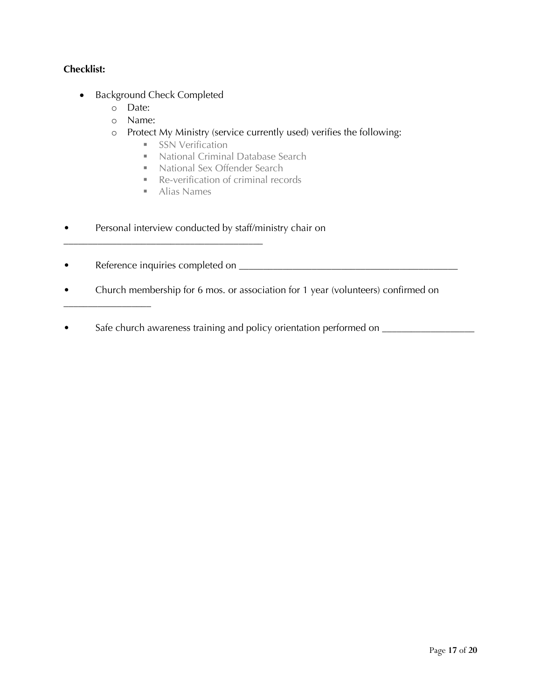#### **Checklist:**

- Background Check Completed
	- o Date:

\_\_\_\_\_\_\_\_\_\_\_\_\_\_\_\_\_\_

- o Name:
- o Protect My Ministry (service currently used) verifies the following:
	- **SSN Verification**
	- **National Criminal Database Search**
	- National Sex Offender Search
	- Re-verification of criminal records
	- Alias Names

\_\_\_\_\_\_\_\_\_\_\_\_\_\_\_\_\_\_\_\_\_\_\_\_\_\_\_\_\_\_\_\_\_\_\_\_\_\_\_\_\_

- Personal interview conducted by staff/ministry chair on
- Reference inquiries completed on \_\_\_\_\_\_\_\_\_\_\_\_\_\_\_\_\_\_\_\_\_\_\_\_\_\_\_\_\_\_\_\_\_\_\_\_\_\_\_\_\_\_\_\_\_
- Church membership for 6 mos. or association for 1 year (volunteers) confirmed on

• Safe church awareness training and policy orientation performed on \_\_\_\_\_\_\_\_\_\_\_\_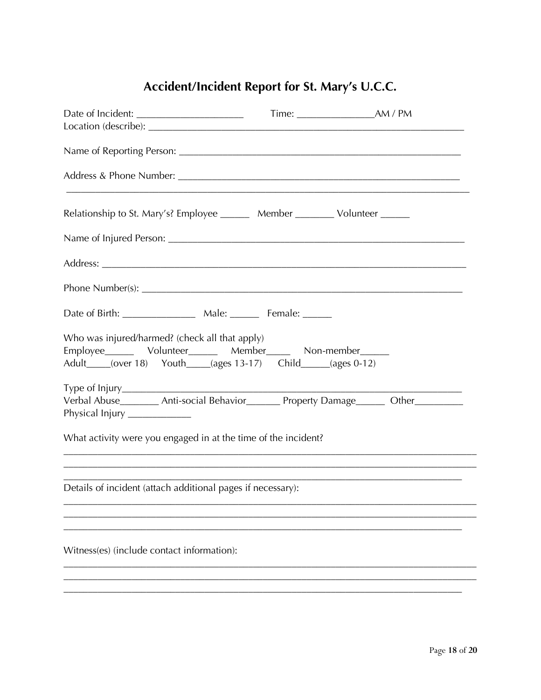# Accident/Incident Report for St. Mary's U.C.C.

| Date of Incident: ________________________                                                                                                                                               |  |
|------------------------------------------------------------------------------------------------------------------------------------------------------------------------------------------|--|
|                                                                                                                                                                                          |  |
|                                                                                                                                                                                          |  |
| Relationship to St. Mary's? Employee ________ Member _________ Volunteer ______                                                                                                          |  |
|                                                                                                                                                                                          |  |
|                                                                                                                                                                                          |  |
|                                                                                                                                                                                          |  |
|                                                                                                                                                                                          |  |
| Who was injured/harmed? (check all that apply)<br>Employee_________ Volunteer_________ Member_______ Non-member_______<br>Adult____(over 18) Youth____(ages 13-17) Child_____(ages 0-12) |  |
| Verbal Abuse__________ Anti-social Behavior_________ Property Damage_______ Other___________<br>Physical Injury ______________                                                           |  |
| What activity were you engaged in at the time of the incident?                                                                                                                           |  |
| Details of incident (attach additional pages if necessary):                                                                                                                              |  |
| Witness(es) (include contact information):                                                                                                                                               |  |
|                                                                                                                                                                                          |  |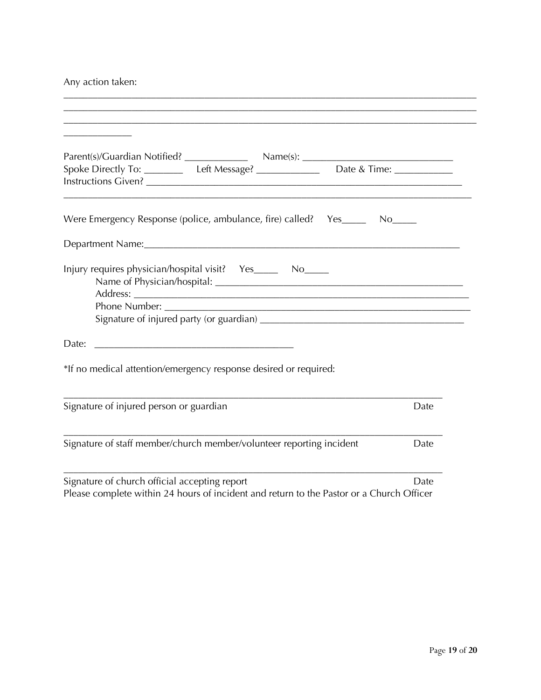Any action taken:

| Spoke Directly To: _____________Left Message? _________________Date & Time: ____________                                                  |      |
|-------------------------------------------------------------------------------------------------------------------------------------------|------|
| Were Emergency Response (police, ambulance, fire) called? Yes_______ No_____                                                              |      |
|                                                                                                                                           |      |
| Injury requires physician/hospital visit? Yes_______ No_____                                                                              |      |
| Date:                                                                                                                                     |      |
| *If no medical attention/emergency response desired or required:                                                                          |      |
| Signature of injured person or guardian                                                                                                   | Date |
| Signature of staff member/church member/volunteer reporting incident                                                                      | Date |
| Signature of church official accepting report<br>Please complete within 24 hours of incident and return to the Pastor or a Church Officer | Date |